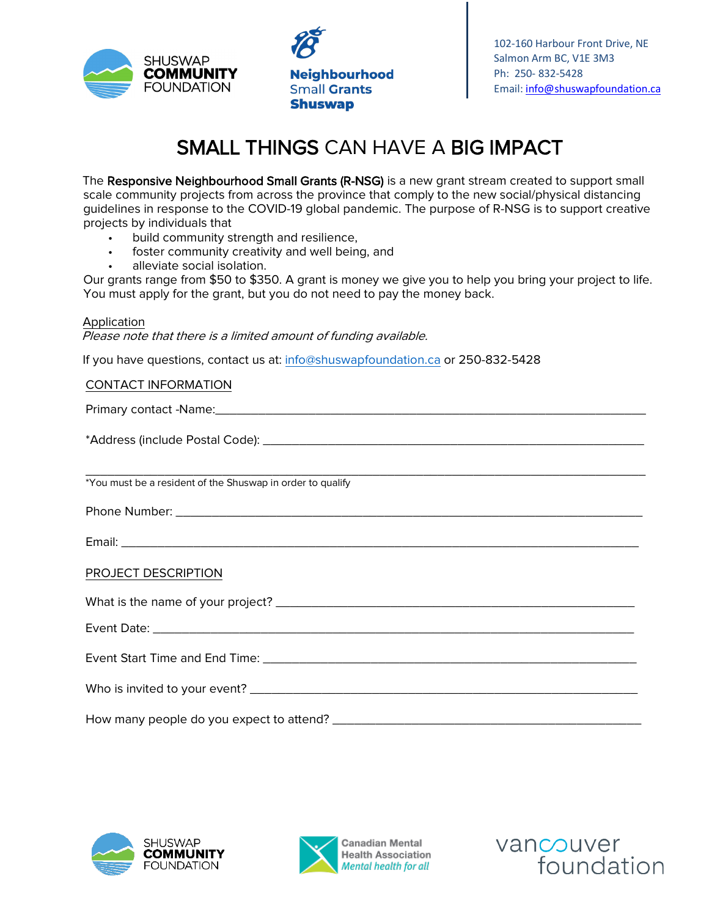

**Neighbourhood Small Grants Shuswap** 

102-160 Harbour Front Drive, NE Salmon Arm BC, V1E 3M3 Ph: 250- 832-5428 Email: [info@shuswapfoundation.ca](mailto:info@shuswapfoundation.ca)

## SMALL THINGS CAN HAVE A BIG IMPACT

The Responsive Neighbourhood Small Grants (R-NSG) is a new grant stream created to support small scale community projects from across the province that comply to the new social/physical distancing guidelines in response to the COVID-19 global pandemic. The purpose of R-NSG is to support creative projects by individuals that

- build community strength and resilience,
- foster community creativity and well being, and
- alleviate social isolation.

Our grants range from \$50 to \$350. A grant is money we give you to help you bring your project to life. You must apply for the grant, but you do not need to pay the money back.

## Application

Please note that there is a limited amount of funding available.

If you have questions, contact us at: info@shuswapfoundation.ca or 250-832-5428

## CONTACT INFORMATION

Primary contact -Name:\_\_\_\_\_\_\_\_\_\_\_\_\_\_\_\_\_\_\_\_\_\_\_\_\_\_\_\_\_\_\_\_\_\_\_\_\_\_\_\_\_\_\_\_\_\_\_\_\_\_\_\_\_\_\_\_\_\_\_\_

\*Address (include Postal Code): \_\_\_\_\_\_\_\_\_\_\_\_\_\_\_\_\_\_\_\_\_\_\_\_\_\_\_\_\_\_\_\_\_\_\_\_\_\_\_\_\_\_\_\_\_\_\_\_\_\_\_\_\_

\_\_\_\_\_\_\_\_\_\_\_\_\_\_\_\_\_\_\_\_\_\_\_\_\_\_\_\_\_\_\_\_\_\_\_\_\_\_\_\_\_\_\_\_\_\_\_\_\_\_\_\_\_\_\_\_\_\_\_\_\_\_\_\_\_\_\_\_\_\_\_\_\_\_\_\_\_\_ \*You must be a resident of the Shuswap in order to qualify

Phone Number: \_\_\_\_\_\_\_\_\_\_\_\_\_\_\_\_\_\_\_\_\_\_\_\_\_\_\_\_\_\_\_\_\_\_\_\_\_\_\_\_\_\_\_\_\_\_\_\_\_\_\_\_\_\_\_\_\_\_\_\_\_\_\_\_\_

Email: \_\_\_\_\_\_\_\_\_\_\_\_\_\_\_\_\_\_\_\_\_\_\_\_\_\_\_\_\_\_\_\_\_\_\_\_\_\_\_\_\_\_\_\_\_\_\_\_\_\_\_\_\_\_\_\_\_\_\_\_\_\_\_\_\_\_\_\_\_\_\_\_

PROJECT DESCRIPTION

| Event Date: ____________________ |  |
|----------------------------------|--|
| Event Start Time and End Time:   |  |

Who is invited to your event? \_\_\_\_\_\_\_\_\_\_\_\_\_\_\_\_\_\_\_\_\_\_\_\_\_\_\_\_\_\_\_\_\_\_\_\_\_\_\_\_\_\_\_\_\_\_\_\_\_\_\_\_\_\_ How many people do you expect to attend? \_\_\_\_\_\_\_\_\_\_\_\_\_\_\_\_\_\_\_\_\_\_\_\_\_\_\_\_\_\_\_\_\_\_\_\_\_\_\_\_\_\_\_